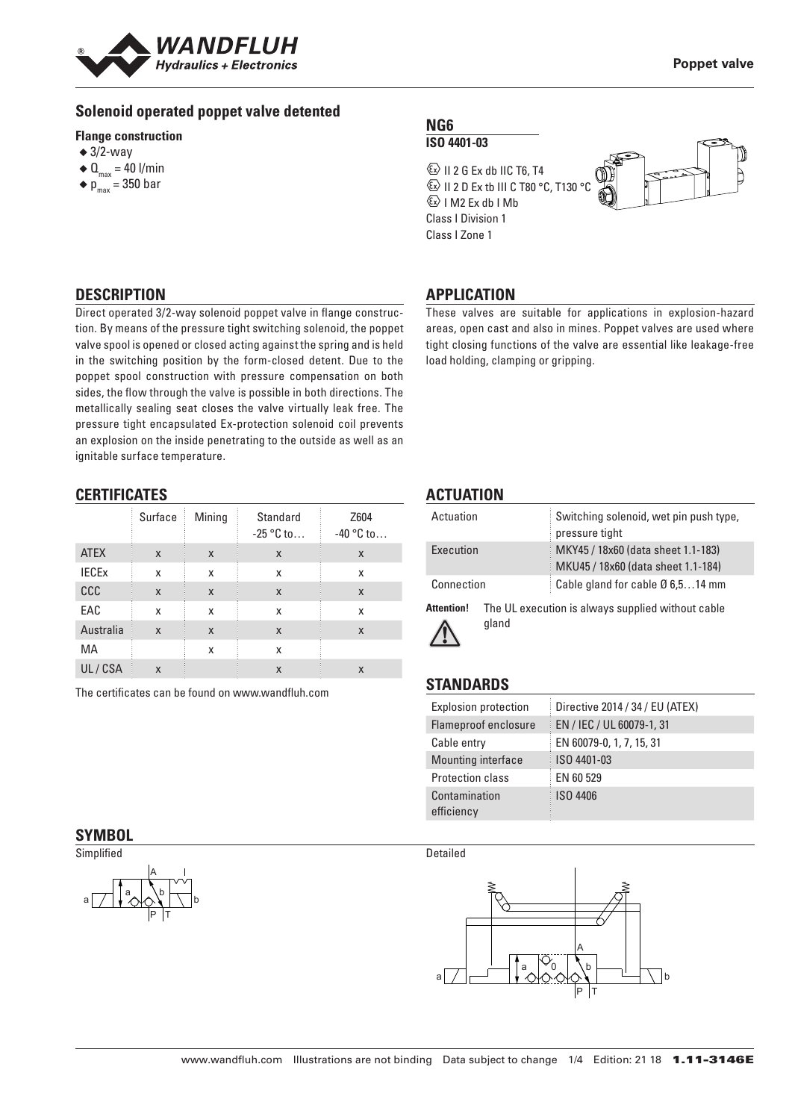

## **Solenoid operated poppet valve detented**

#### **Flange construction**

- $\triangleleft$  3/2-way
- $\triangleleft$  Q<sub>max</sub> = 40 l/min
- $\bullet$  p<sub>max</sub> = 350 bar

#### **NG6 ISO 4401-03**

 $\textcircled{k}$  II 2 G Ex db IIC T6, T4 **ED II 2 D Ex tb III C T80 °C, T130 °C**  $\&$  I M2 Ex db I Mb Class I Division 1 Class I Zone 1



## **DESCRIPTION**

Direct operated 3/2-way solenoid poppet valve in flange construction. By means of the pressure tight switching solenoid, the poppet valve spool is opened or closed acting against the spring and is held in the switching position by the form-closed detent. Due to the poppet spool construction with pressure compensation on both sides, the flow through the valve is possible in both directions. The metallically sealing seat closes the valve virtually leak free. The pressure tight encapsulated Ex-protection solenoid coil prevents an explosion on the inside penetrating to the outside as well as an ignitable surface temperature.

## **CERTIFICATES**

|              | Surface | Mining | Standard<br>$-25$ °C to | Z604<br>$-40$ °C to |
|--------------|---------|--------|-------------------------|---------------------|
| <b>ATEX</b>  | X       | X      | X                       | X                   |
| <b>IECEX</b> | X       | X      | X                       | X                   |
| CCC          | X       | X      | X                       | X                   |
| EAC          | X       | X      | X                       | X                   |
| Australia    | X       | X      | X                       | X                   |
| МA           |         | x      | x                       |                     |
| UL/CSA       | X       |        | X                       | X                   |

The certificates can be found on www.wandfluh.com

## **SYMBOL**



# **APPLICATION**

These valves are suitable for applications in explosion-hazard areas, open cast and also in mines. Poppet valves are used where tight closing functions of the valve are essential like leakage-free load holding, clamping or gripping.

## **ACTUATION**

| Actuation  | Switching solenoid, wet pin push type,<br>pressure tight                 |
|------------|--------------------------------------------------------------------------|
| Execution  | MKY45 / 18x60 (data sheet 1.1-183)<br>MKU45 / 18x60 (data sheet 1.1-184) |
| Connection | Cable gland for cable $\varnothing$ 6,514 mm                             |

**Attention!** The UL execution is always supplied without cable gland

# **STANDARDS**

| <b>Explosion protection</b> | Directive 2014 / 34 / EU (ATEX) |
|-----------------------------|---------------------------------|
| Flameproof enclosure        | EN / IEC / UL 60079-1, 31       |
| Cable entry                 | EN 60079-0, 1, 7, 15, 31        |
| Mounting interface          | ISO 4401-03                     |
| Protection class            | EN 60 529                       |
| Contamination<br>efficiency | ISO 4406                        |

Detailed

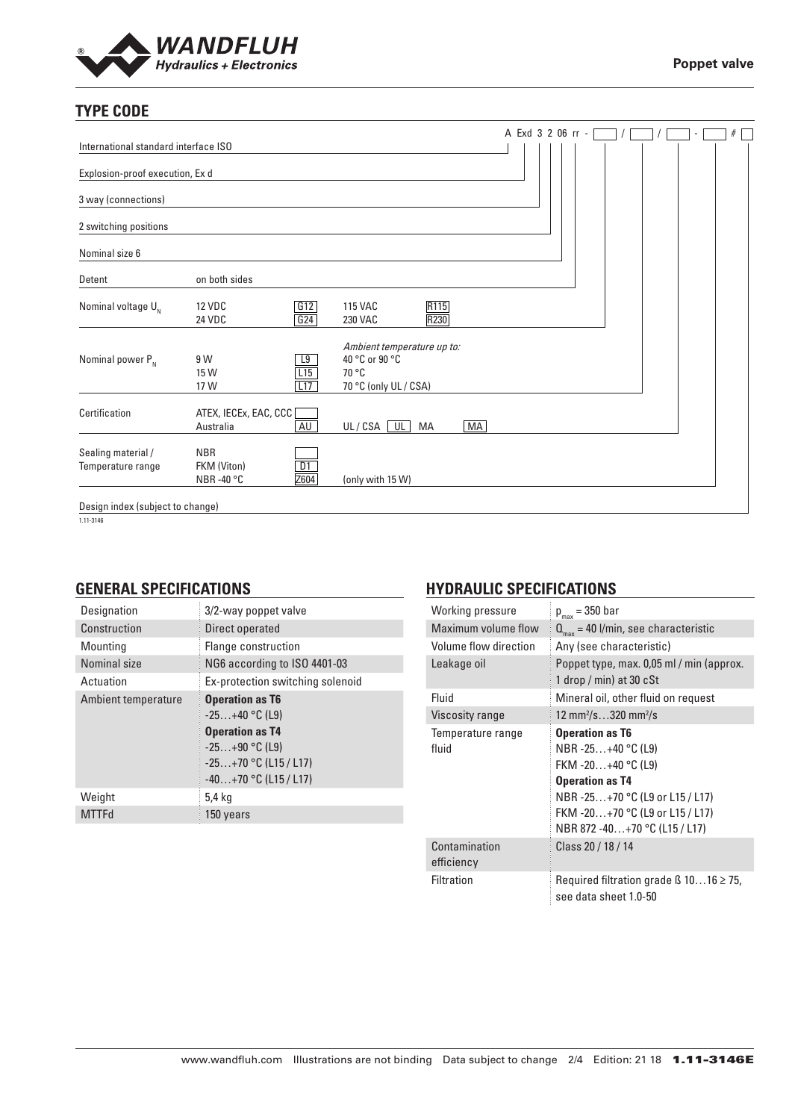

# **TYPE CODE**

|                                         |                                                 |                  |                                                                                |              |           | A Exd 3 2 06 rr - |  |  | ٠ | # |
|-----------------------------------------|-------------------------------------------------|------------------|--------------------------------------------------------------------------------|--------------|-----------|-------------------|--|--|---|---|
| International standard interface ISO    |                                                 |                  |                                                                                |              |           |                   |  |  |   |   |
| Explosion-proof execution, Ex d         |                                                 |                  |                                                                                |              |           |                   |  |  |   |   |
| 3 way (connections)                     |                                                 |                  |                                                                                |              |           |                   |  |  |   |   |
| 2 switching positions                   |                                                 |                  |                                                                                |              |           |                   |  |  |   |   |
| Nominal size 6                          |                                                 |                  |                                                                                |              |           |                   |  |  |   |   |
| Detent                                  | on both sides                                   |                  |                                                                                |              |           |                   |  |  |   |   |
| Nominal voltage $U_{N}$                 | <b>12 VDC</b><br><b>24 VDC</b>                  | G12<br>G24       | <b>115 VAC</b><br><b>230 VAC</b>                                               | R115<br>R230 |           |                   |  |  |   |   |
| Nominal power $P_{N}$                   | 9 W<br>15 W<br>17 W                             | L9<br>L15<br>L17 | Ambient temperature up to:<br>40 °C or 90 °C<br>70 °C<br>70 °C (only UL / CSA) |              |           |                   |  |  |   |   |
| Certification                           | ATEX, IECEx, EAC, CCC<br>Australia              | AU               | UL/CSA UL                                                                      | МA           | <b>MA</b> |                   |  |  |   |   |
| Sealing material /<br>Temperature range | <b>NBR</b><br>FKM (Viton)<br>NBR-40 $\degree$ C | D1<br>Z604       | (only with 15 W)                                                               |              |           |                   |  |  |   |   |
| Design index (subject to change)        |                                                 |                  |                                                                                |              |           |                   |  |  |   |   |

1.11-3146

## **GENERAL SPECIFICATIONS**

| Designation         | 3/2-way poppet valve                                                                                                                           |
|---------------------|------------------------------------------------------------------------------------------------------------------------------------------------|
| Construction        | Direct operated                                                                                                                                |
| Mounting            | Flange construction                                                                                                                            |
| Nominal size        | NG6 according to ISO 4401-03                                                                                                                   |
| Actuation           | Ex-protection switching solenoid                                                                                                               |
| Ambient temperature | <b>Operation as T6</b><br>$-25+40$ °C (L9)<br><b>Operation as T4</b><br>$-25+90$ °C (L9)<br>$-25+70$ °C (L15 / L17)<br>$-40+70$ °C (L15 / L17) |
| Weight              | 5,4 kg                                                                                                                                         |
| <b>MTTFd</b>        | 150 years                                                                                                                                      |

# **HYDRAULIC SPECIFICATIONS**

| Working pressure            | $p_{max}$ = 350 bar                                                                                                                                                                                |
|-----------------------------|----------------------------------------------------------------------------------------------------------------------------------------------------------------------------------------------------|
| Maximum volume flow         | $Q_{\text{max}}$ = 40 l/min, see characteristic                                                                                                                                                    |
| Volume flow direction       | Any (see characteristic)                                                                                                                                                                           |
| Leakage oil                 | Poppet type, max. 0,05 ml / min (approx.<br>1 drop / min) at 30 $cSt$                                                                                                                              |
| Fluid                       | Mineral oil, other fluid on request                                                                                                                                                                |
| Viscosity range             | 12 mm <sup>2</sup> /s320 mm <sup>2</sup> /s                                                                                                                                                        |
| Temperature range<br>fluid  | <b>Operation as T6</b><br>NBR -25+40 °C (L9)<br>FKM -20+40 °C (L9)<br><b>Operation as T4</b><br>NBR-25+70 °C (L9 or L15 / L17)<br>FKM -20+70 °C (L9 or L15 / L17)<br>NBR 872 -40+70 °C (L15 / L17) |
| Contamination<br>efficiency | Class 20 / 18 / 14                                                                                                                                                                                 |
| Filtration                  | Required filtration grade $\beta$ 1016 $\geq$ 75,<br>see data sheet 1.0-50                                                                                                                         |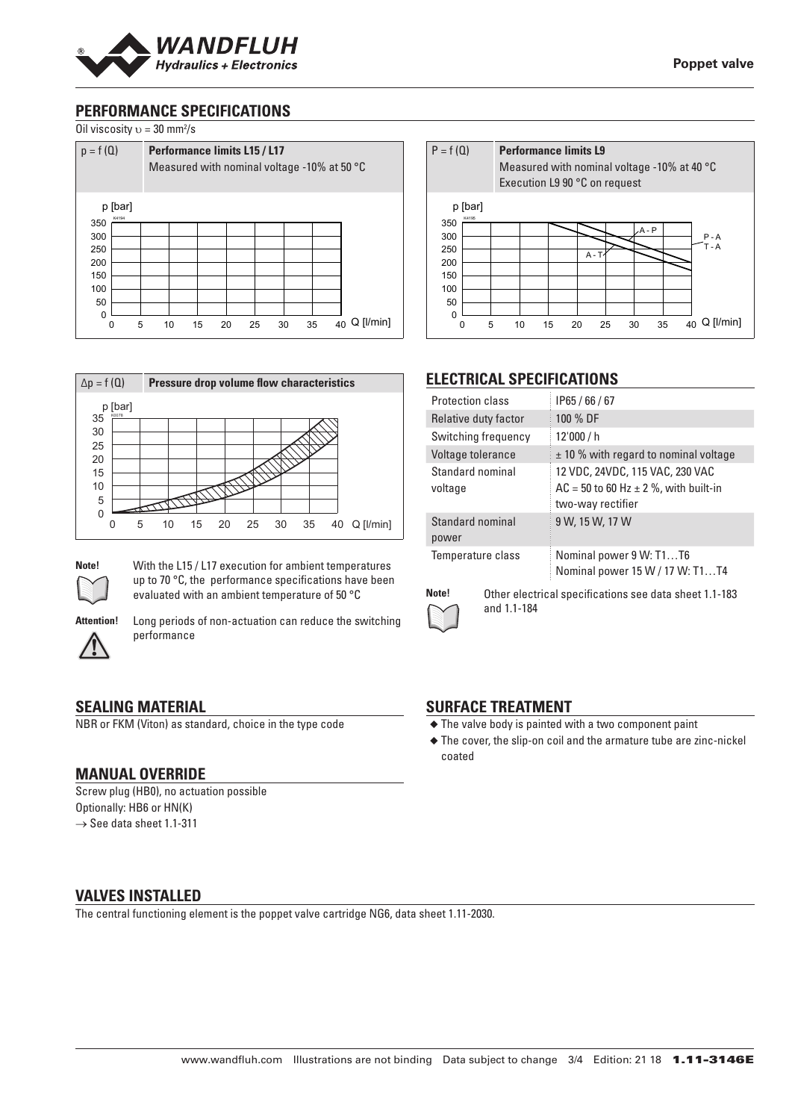

# **PERFORMANCE SPECIFICATIONS**



| $p = f(Q)$              |   | <b>Performance limits L15 / L17</b><br>Measured with nominal voltage -10% at 50 °C |    |    |    |    |    |                       |
|-------------------------|---|------------------------------------------------------------------------------------|----|----|----|----|----|-----------------------|
| p [bar]<br>K4194<br>350 |   |                                                                                    |    |    |    |    |    |                       |
| 300                     |   |                                                                                    |    |    |    |    |    |                       |
| 250                     |   |                                                                                    |    |    |    |    |    |                       |
| 200                     |   |                                                                                    |    |    |    |    |    |                       |
| 150                     |   |                                                                                    |    |    |    |    |    |                       |
| 100                     |   |                                                                                    |    |    |    |    |    |                       |
| 50                      |   |                                                                                    |    |    |    |    |    |                       |
| $\mathbf 0$             |   |                                                                                    |    |    |    |    |    |                       |
| 0                       | 5 | 10                                                                                 | 15 | 20 | 25 | 30 | 35 | $Q$ [ $l/min$ ]<br>40 |





**Note!** With the L15 / L17 execution for ambient temperatures up to 70 °C, the performance specifications have been evaluated with an ambient temperature of 50 °C



**Attention!** Long periods of non-actuation can reduce the switching performance

#### **SEALING MATERIAL**

NBR or FKM (Viton) as standard, choice in the type code

#### **MANUAL OVERRIDE**

Screw plug (HB0), no actuation possible Optionally: HB6 or HN(K)  $\rightarrow$  See data sheet 1.1-311



# **ELECTRICAL SPECIFICATIONS**

| <b>Protection class</b>     | IP65/66/67                                                                                          |
|-----------------------------|-----------------------------------------------------------------------------------------------------|
| Relative duty factor        | 100 % DF                                                                                            |
| Switching frequency         | 12'000 / h                                                                                          |
| Voltage tolerance           | $\pm$ 10 % with regard to nominal voltage                                                           |
| Standard nominal<br>voltage | 12 VDC, 24VDC, 115 VAC, 230 VAC<br>$AC = 50$ to 60 Hz $\pm$ 2 %, with built-in<br>two-way rectifier |
| Standard nominal<br>power   | 9 W, 15 W, 17 W                                                                                     |
| Temperature class           | Nominal power 9 W: T1T6<br>Nominal power 15 W / 17 W: T1T4                                          |



**Note!** Other electrical specifications see data sheet 1.1-183 and 1.1-184

#### **SURFACE TREATMENT**

- ◆ The valve body is painted with a two component paint
- ◆ The cover, the slip-on coil and the armature tube are zinc-nickel coated

#### **VALVES INSTALLED**

The central functioning element is the poppet valve cartridge NG6, data sheet 1.11-2030.